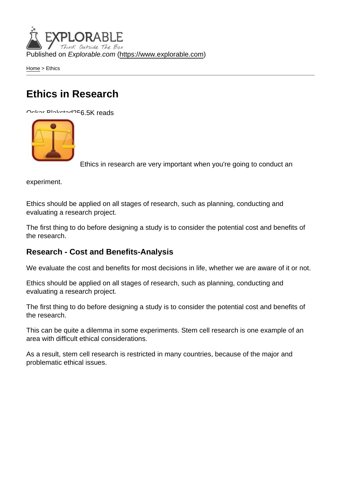Published on Explorable.com (<https://www.explorable.com>)

[Home](https://www.explorable.com/) > Ethics

## Ethics in Research

Oskar Blakstad256.5K reads

Ethics in research are very important when you're going to conduct an

experiment.

Ethics should be applied on all stages of research, such as planning, conducting and evaluating a research project.

The first thing to do before designing a study is to consider the potential cost and benefits of the research.

## Research - Cost and Benefits-Analysis

We evaluate the cost and benefits for most decisions in life, whether we are aware of it or not.

Ethics should be applied on all stages of research, such as planning, conducting and evaluating a research project.

The first thing to do before designing a study is to consider the potential cost and benefits of the research.

This can be quite a dilemma in some experiments. Stem cell research is one example of an area with difficult ethical considerations.

As a result, stem cell research is restricted in many countries, because of the major and problematic ethical issues.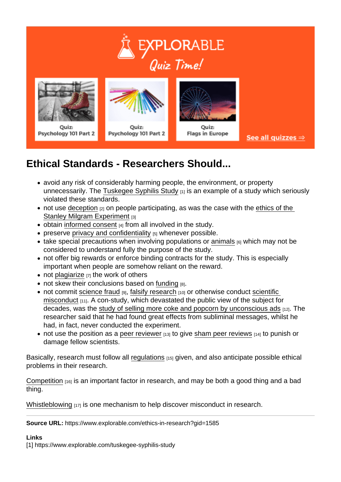## Ethical Standards - Researchers Should...

- avoid any risk of considerably harming people, the environment, or property unnecessarily. The [Tuskegee Syphilis Study](https://www.explorable.com/tuskegee-syphilis-study)  $_{[1]}$  is an example of a study which seriously violated these standards.
- $\bullet$  not use [deception](https://www.explorable.com/deception-and-research)  $_{[2]}$  on people participating, as was the case with the ethics of the [Stanley Milgram Experiment](https://www.explorable.com/milgram-experiment-ethics) [3]
- $\bullet$  obtain [informed consent](https://www.explorable.com/informed-consent-policy)  $A_1$  from all involved in the study.
- $\bullet$  preserve [privacy and confidentiality](https://www.explorable.com/privacy-in-research)  $[5]$  whenever possible.
- take special precautions when involving populations or [animals](https://www.explorable.com/animals-in-research)  $[6]$  which may not be considered to understand fully the purpose of the study.
- not offer big rewards or enforce binding contracts for the study. This is especially important when people are somehow reliant on the reward.
- not [plagiarize](https://www.explorable.com/academic-plagiarism) [7] the work of others
- not skew their conclusions based on [funding](https://www.explorable.com/research-grant-funding) [8].
- not commit [science fraud](https://www.explorable.com/science-fraud) [9], [falsify research](https://www.explorable.com/scientific-falsification) [10] or otherwise conduct scientific [misconduct](https://www.explorable.com/scientific-misconduct) [11]. A con-study, which devastated the public view of the subject for decades, was the [study of selling more coke and popcorn by unconscious ads](https://www.explorable.com/subliminal-messages) [12]. The researcher said that he had found great effects from subliminal messages, whilst he had, in fact, never conducted the experiment.
- not use the position as a [peer reviewer](https://www.explorable.com/peer-review-process)  $[13]$  to give [sham peer reviews](https://www.explorable.com/sham-peer-review)  $[14]$  to punish or damage fellow scientists.

Basically, research must follow all [regulations](https://www.explorable.com/research-regulations) [15] given, and also anticipate possible ethical problems in their research.

[Competition](https://www.explorable.com/competition-in-science) [16] is an important factor in research, and may be both a good thing and a bad thing.

[Whistleblowing](https://www.explorable.com/whistleblowers-in-science)  $117$  is one mechanism to help discover misconduct in research.

Source URL: https://www.explorable.com/ethics-in-research?gid=1585

Links

[1] https://www.explorable.com/tuskegee-syphilis-study